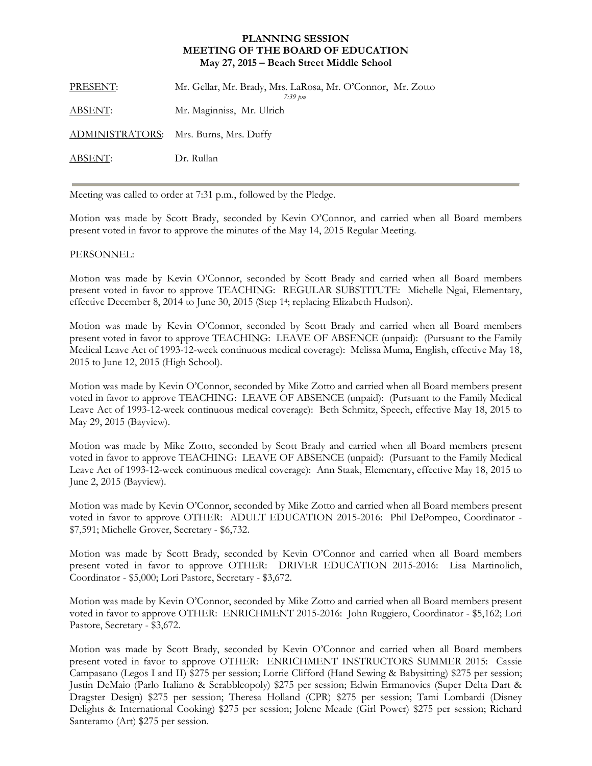## **PLANNING SESSION MEETING OF THE BOARD OF EDUCATION May 27, 2015 – Beach Street Middle School**

| PRESENT:       | Mr. Gellar, Mr. Brady, Mrs. LaRosa, Mr. O'Connor, Mr. Zotto<br>$7:39 \; \text{pm}$ |
|----------------|------------------------------------------------------------------------------------|
| <u>ABSENT:</u> | Mr. Maginniss, Mr. Ulrich                                                          |
|                | ADMINISTRATORS: Mrs. Burns, Mrs. Duffy                                             |
| ABSENT:        | Dr. Rullan                                                                         |
|                |                                                                                    |

Meeting was called to order at 7:31 p.m., followed by the Pledge.

Motion was made by Scott Brady, seconded by Kevin O'Connor, and carried when all Board members present voted in favor to approve the minutes of the May 14, 2015 Regular Meeting.

## PERSONNEL:

Motion was made by Kevin O'Connor, seconded by Scott Brady and carried when all Board members present voted in favor to approve TEACHING: REGULAR SUBSTITUTE: Michelle Ngai, Elementary, effective December 8, 2014 to June 30, 2015 (Step 14; replacing Elizabeth Hudson).

Motion was made by Kevin O'Connor, seconded by Scott Brady and carried when all Board members present voted in favor to approve TEACHING: LEAVE OF ABSENCE (unpaid): (Pursuant to the Family Medical Leave Act of 1993-12-week continuous medical coverage): Melissa Muma, English, effective May 18, 2015 to June 12, 2015 (High School).

Motion was made by Kevin O'Connor, seconded by Mike Zotto and carried when all Board members present voted in favor to approve TEACHING: LEAVE OF ABSENCE (unpaid): (Pursuant to the Family Medical Leave Act of 1993-12-week continuous medical coverage): Beth Schmitz, Speech, effective May 18, 2015 to May 29, 2015 (Bayview).

Motion was made by Mike Zotto, seconded by Scott Brady and carried when all Board members present voted in favor to approve TEACHING: LEAVE OF ABSENCE (unpaid): (Pursuant to the Family Medical Leave Act of 1993-12-week continuous medical coverage): Ann Staak, Elementary, effective May 18, 2015 to June 2, 2015 (Bayview).

Motion was made by Kevin O'Connor, seconded by Mike Zotto and carried when all Board members present voted in favor to approve OTHER: ADULT EDUCATION 2015-2016: Phil DePompeo, Coordinator - \$7,591; Michelle Grover, Secretary - \$6,732.

Motion was made by Scott Brady, seconded by Kevin O'Connor and carried when all Board members present voted in favor to approve OTHER: DRIVER EDUCATION 2015-2016: Lisa Martinolich, Coordinator - \$5,000; Lori Pastore, Secretary - \$3,672.

Motion was made by Kevin O'Connor, seconded by Mike Zotto and carried when all Board members present voted in favor to approve OTHER: ENRICHMENT 2015-2016: John Ruggiero, Coordinator - \$5,162; Lori Pastore, Secretary - \$3,672.

Motion was made by Scott Brady, seconded by Kevin O'Connor and carried when all Board members present voted in favor to approve OTHER: ENRICHMENT INSTRUCTORS SUMMER 2015: Cassie Campasano (Legos I and II) \$275 per session; Lorrie Clifford (Hand Sewing & Babysitting) \$275 per session; Justin DeMaio (Parlo Italiano & Scrabbleopoly) \$275 per session; Edwin Ermanovics (Super Delta Dart & Dragster Design) \$275 per session; Theresa Holland (CPR) \$275 per session; Tami Lombardi (Disney Delights & International Cooking) \$275 per session; Jolene Meade (Girl Power) \$275 per session; Richard Santeramo (Art) \$275 per session.